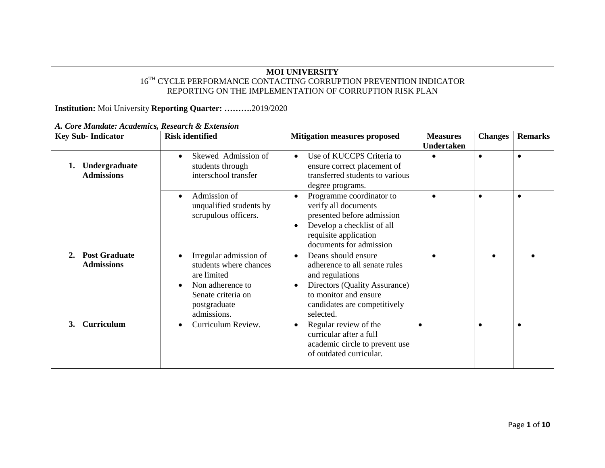## **MOI UNIVERSITY**   $16^\mathrm{TH}$  CYCLE PERFORMANCE CONTACTING CORRUPTION PREVENTION INDICATOR REPORTING ON THE IMPLEMENTATION OF CORRUPTION RISK PLAN

**Institution:** Moi University **Reporting Quarter: ……….**2019/2020

| <b>Key Sub-Indicator</b>                        | <b>Risk identified</b>                                                                                                                   | <b>Mitigation measures proposed</b>                                                                                                                                                                      | <b>Measures</b><br>Undertaken | <b>Changes</b> | <b>Remarks</b> |
|-------------------------------------------------|------------------------------------------------------------------------------------------------------------------------------------------|----------------------------------------------------------------------------------------------------------------------------------------------------------------------------------------------------------|-------------------------------|----------------|----------------|
| Undergraduate<br><b>Admissions</b>              | Skewed Admission of<br>students through<br>interschool transfer                                                                          | Use of KUCCPS Criteria to<br>$\bullet$<br>ensure correct placement of<br>transferred students to various<br>degree programs.                                                                             |                               | $\bullet$      | $\bullet$      |
|                                                 | Admission of<br>$\bullet$<br>unqualified students by<br>scrupulous officers.                                                             | Programme coordinator to<br>$\bullet$<br>verify all documents<br>presented before admission<br>Develop a checklist of all<br>$\bullet$<br>requisite application<br>documents for admission               |                               | $\bullet$      | $\bullet$      |
| <b>Post Graduate</b><br>2.<br><b>Admissions</b> | Irregular admission of<br>students where chances<br>are limited<br>Non adherence to<br>Senate criteria on<br>postgraduate<br>admissions. | Deans should ensure<br>$\bullet$<br>adherence to all senate rules<br>and regulations<br>Directors (Quality Assurance)<br>$\bullet$<br>to monitor and ensure<br>candidates are competitively<br>selected. |                               |                |                |
| Curriculum<br><b>3.</b>                         | Curriculum Review.                                                                                                                       | Regular review of the<br>$\bullet$<br>curricular after a full<br>academic circle to prevent use<br>of outdated curricular.                                                                               |                               | $\bullet$      | $\bullet$      |

*A. Core Mandate: Academics, Research & Extension*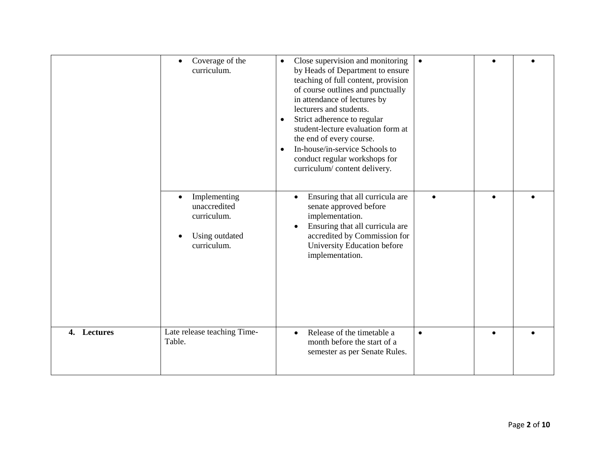|             | Coverage of the<br>$\bullet$<br>curriculum.                                               | Close supervision and monitoring<br>$\bullet$<br>by Heads of Department to ensure<br>teaching of full content, provision<br>of course outlines and punctually<br>in attendance of lectures by<br>lecturers and students.<br>Strict adherence to regular<br>$\bullet$<br>student-lecture evaluation form at<br>the end of every course.<br>In-house/in-service Schools to<br>$\bullet$<br>conduct regular workshops for<br>curriculum/content delivery. | $\bullet$ |  |
|-------------|-------------------------------------------------------------------------------------------|--------------------------------------------------------------------------------------------------------------------------------------------------------------------------------------------------------------------------------------------------------------------------------------------------------------------------------------------------------------------------------------------------------------------------------------------------------|-----------|--|
|             | Implementing<br>$\bullet$<br>unaccredited<br>curriculum.<br>Using outdated<br>curriculum. | Ensuring that all curricula are<br>$\bullet$<br>senate approved before<br>implementation.<br>Ensuring that all curricula are<br>accredited by Commission for<br>University Education before<br>implementation.                                                                                                                                                                                                                                         |           |  |
| 4. Lectures | Late release teaching Time-<br>Table.                                                     | Release of the timetable a<br>$\bullet$<br>month before the start of a<br>semester as per Senate Rules.                                                                                                                                                                                                                                                                                                                                                | $\bullet$ |  |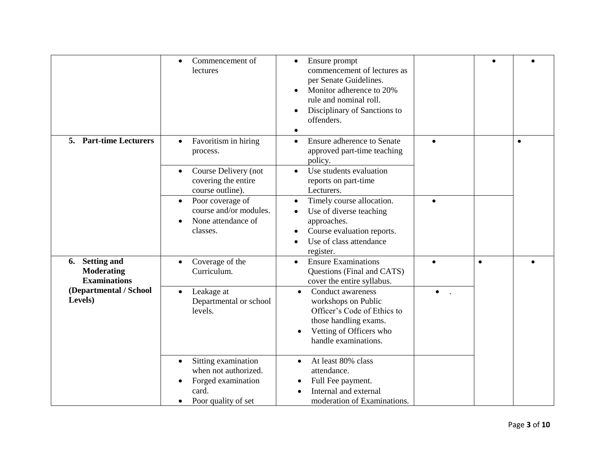|                                                            | Commencement of<br>$\bullet$<br>lectures                                                                         | Ensure prompt<br>$\bullet$<br>commencement of lectures as<br>per Senate Guidelines.<br>Monitor adherence to 20%<br>rule and nominal roll.<br>Disciplinary of Sanctions to<br>offenders.<br>$\bullet$ |           |           |  |
|------------------------------------------------------------|------------------------------------------------------------------------------------------------------------------|------------------------------------------------------------------------------------------------------------------------------------------------------------------------------------------------------|-----------|-----------|--|
| <b>Part-time Lecturers</b><br>5.                           | Favoritism in hiring<br>$\bullet$<br>process.<br>Course Delivery (not<br>covering the entire<br>course outline). | <b>Ensure adherence to Senate</b><br>$\bullet$<br>approved part-time teaching<br>policy.<br>Use students evaluation<br>$\bullet$<br>reports on part-time<br>Lecturers.                               | $\bullet$ | $\bullet$ |  |
|                                                            | Poor coverage of<br>$\bullet$<br>course and/or modules.<br>None attendance of<br>classes.                        | Timely course allocation.<br>$\bullet$<br>Use of diverse teaching<br>$\bullet$<br>approaches.<br>Course evaluation reports.<br>$\bullet$<br>Use of class attendance<br>$\bullet$<br>register.        |           |           |  |
| 6. Setting and<br><b>Moderating</b><br><b>Examinations</b> | Coverage of the<br>Curriculum.                                                                                   | <b>Ensure Examinations</b><br>$\bullet$<br>Questions (Final and CATS)<br>cover the entire syllabus.                                                                                                  |           | $\bullet$ |  |
| (Departmental / School<br>Levels)                          | Leakage at<br>Departmental or school<br>levels.                                                                  | <b>Conduct awareness</b><br>$\bullet$<br>workshops on Public<br>Officer's Code of Ethics to<br>those handling exams.<br>Vetting of Officers who<br>handle examinations.                              | $\bullet$ |           |  |
|                                                            | Sitting examination<br>$\bullet$<br>when not authorized.<br>Forged examination<br>card.<br>Poor quality of set   | At least 80% class<br>$\bullet$<br>attendance.<br>Full Fee payment.<br>Internal and external<br>moderation of Examinations.                                                                          |           |           |  |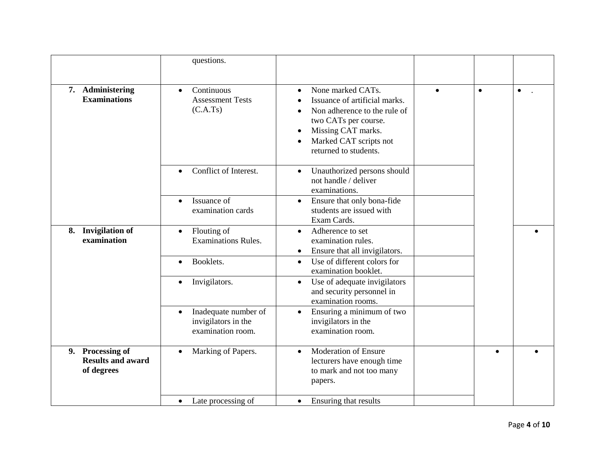|                                                            | questions.                                                                    |                                                                                                                                                                                                                            |           |           |           |
|------------------------------------------------------------|-------------------------------------------------------------------------------|----------------------------------------------------------------------------------------------------------------------------------------------------------------------------------------------------------------------------|-----------|-----------|-----------|
| 7. Administering<br><b>Examinations</b>                    | Continuous<br>$\bullet$<br><b>Assessment Tests</b><br>(C.A.Ts)                | None marked CATs.<br>$\bullet$<br>Issuance of artificial marks.<br>Non adherence to the rule of<br>two CATs per course.<br>Missing CAT marks.<br>$\bullet$<br>Marked CAT scripts not<br>$\bullet$<br>returned to students. | $\bullet$ | $\bullet$ | $\bullet$ |
|                                                            | Conflict of Interest.<br>$\bullet$                                            | Unauthorized persons should<br>$\bullet$<br>not handle / deliver<br>examinations.                                                                                                                                          |           |           |           |
|                                                            | Issuance of<br>$\bullet$<br>examination cards                                 | Ensure that only bona-fide<br>$\bullet$<br>students are issued with<br>Exam Cards.                                                                                                                                         |           |           |           |
| <b>Invigilation of</b><br>8.<br>examination                | Flouting of<br>$\bullet$<br><b>Examinations Rules.</b>                        | Adherence to set<br>$\bullet$<br>examination rules.<br>Ensure that all invigilators.<br>$\bullet$                                                                                                                          |           |           |           |
|                                                            | Booklets.<br>$\bullet$                                                        | Use of different colors for<br>$\bullet$<br>examination booklet.                                                                                                                                                           |           |           |           |
|                                                            | Invigilators.<br>$\bullet$                                                    | Use of adequate invigilators<br>$\bullet$<br>and security personnel in<br>examination rooms.                                                                                                                               |           |           |           |
|                                                            | Inadequate number of<br>$\bullet$<br>invigilators in the<br>examination room. | Ensuring a minimum of two<br>$\bullet$<br>invigilators in the<br>examination room.                                                                                                                                         |           |           |           |
| 9. Processing of<br><b>Results and award</b><br>of degrees | Marking of Papers.<br>$\bullet$                                               | <b>Moderation of Ensure</b><br>$\bullet$<br>lecturers have enough time<br>to mark and not too many<br>papers.                                                                                                              |           | $\bullet$ |           |
|                                                            | • Late processing of                                                          | Ensuring that results<br>$\bullet$                                                                                                                                                                                         |           |           |           |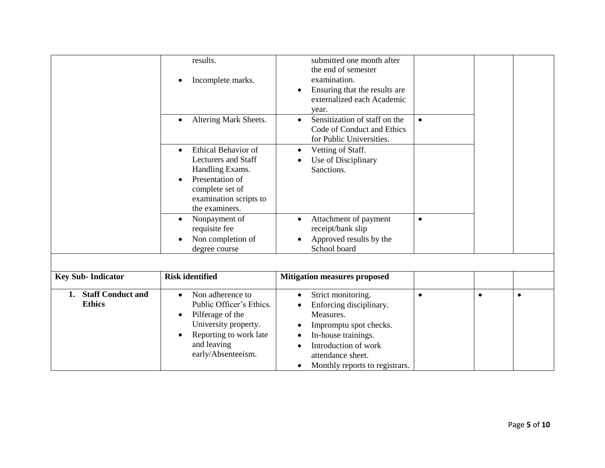|                                | results.                                | submitted one month after                   |           |           |           |
|--------------------------------|-----------------------------------------|---------------------------------------------|-----------|-----------|-----------|
|                                |                                         | the end of semester                         |           |           |           |
|                                | Incomplete marks.<br>$\bullet$          | examination.                                |           |           |           |
|                                |                                         | Ensuring that the results are<br>٠          |           |           |           |
|                                |                                         | externalized each Academic                  |           |           |           |
|                                |                                         | year.                                       |           |           |           |
|                                | Altering Mark Sheets.<br>$\bullet$      | Sensitization of staff on the<br>$\bullet$  | $\bullet$ |           |           |
|                                |                                         | Code of Conduct and Ethics                  |           |           |           |
|                                |                                         | for Public Universities.                    |           |           |           |
|                                | <b>Ethical Behavior of</b><br>$\bullet$ | Vetting of Staff.<br>$\bullet$              |           |           |           |
|                                | <b>Lecturers and Staff</b>              | Use of Disciplinary                         |           |           |           |
|                                | Handling Exams.                         | Sanctions.                                  |           |           |           |
|                                | Presentation of<br>$\bullet$            |                                             |           |           |           |
|                                | complete set of                         |                                             |           |           |           |
|                                | examination scripts to                  |                                             |           |           |           |
|                                | the examiners.                          |                                             |           |           |           |
|                                | Nonpayment of<br>$\bullet$              | Attachment of payment                       | $\bullet$ |           |           |
|                                | requisite fee                           | receipt/bank slip                           |           |           |           |
|                                | Non completion of                       | Approved results by the                     |           |           |           |
|                                | degree course                           | School board                                |           |           |           |
|                                |                                         |                                             |           |           |           |
|                                |                                         |                                             |           |           |           |
| <b>Key Sub-Indicator</b>       | <b>Risk identified</b>                  | <b>Mitigation measures proposed</b>         |           |           |           |
| <b>Staff Conduct and</b><br>1. | Non adherence to<br>$\bullet$           | Strict monitoring.                          | $\bullet$ | $\bullet$ | $\bullet$ |
| <b>Ethics</b>                  | Public Officer's Ethics.                | Enforcing disciplinary.                     |           |           |           |
|                                | Pilferage of the<br>$\bullet$           | Measures.                                   |           |           |           |
|                                | University property.                    | Impromptu spot checks.                      |           |           |           |
|                                | Reporting to work late<br>$\bullet$     | In-house trainings.<br>$\bullet$            |           |           |           |
|                                | and leaving                             | Introduction of work                        |           |           |           |
|                                | early/Absenteeism.                      | attendance sheet.                           |           |           |           |
|                                |                                         | Monthly reports to registrars.<br>$\bullet$ |           |           |           |
|                                |                                         |                                             |           |           |           |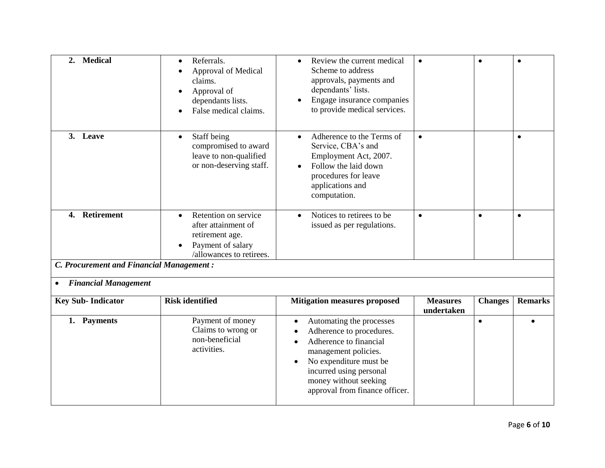| <b>Medical</b><br>2.                            | Referrals.<br>$\bullet$<br>Approval of Medical<br>claims.<br>Approval of<br>dependants lists.<br>False medical claims.       | Review the current medical<br>$\bullet$<br>Scheme to address<br>approvals, payments and<br>dependants' lists.<br>Engage insurance companies<br>to provide medical services.                                                 | $\bullet$                     | $\bullet$      |                |
|-------------------------------------------------|------------------------------------------------------------------------------------------------------------------------------|-----------------------------------------------------------------------------------------------------------------------------------------------------------------------------------------------------------------------------|-------------------------------|----------------|----------------|
| 3. Leave                                        | Staff being<br>$\bullet$<br>compromised to award<br>leave to non-qualified<br>or non-deserving staff.                        | Adherence to the Terms of<br>$\bullet$<br>Service, CBA's and<br>Employment Act, 2007.<br>Follow the laid down<br>procedures for leave<br>applications and<br>computation.                                                   | $\bullet$                     |                | $\bullet$      |
| Retirement<br>4.                                | Retention on service<br>$\bullet$<br>after attainment of<br>retirement age.<br>Payment of salary<br>/allowances to retirees. | Notices to retirees to be<br>$\bullet$<br>issued as per regulations.                                                                                                                                                        | $\bullet$                     | $\bullet$      | $\bullet$      |
| <b>C. Procurement and Financial Management:</b> |                                                                                                                              |                                                                                                                                                                                                                             |                               |                |                |
| <b>Financial Management</b>                     |                                                                                                                              |                                                                                                                                                                                                                             |                               |                |                |
| <b>Key Sub-Indicator</b>                        | <b>Risk identified</b>                                                                                                       | <b>Mitigation measures proposed</b>                                                                                                                                                                                         | <b>Measures</b><br>undertaken | <b>Changes</b> | <b>Remarks</b> |
| 1. Payments                                     | Payment of money<br>Claims to wrong or<br>non-beneficial<br>activities.                                                      | Automating the processes<br>$\bullet$<br>Adherence to procedures.<br>$\bullet$<br>Adherence to financial<br>management policies.<br>No expenditure must be<br>$\bullet$<br>incurred using personal<br>money without seeking |                               | $\bullet$      |                |

approval from finance officer.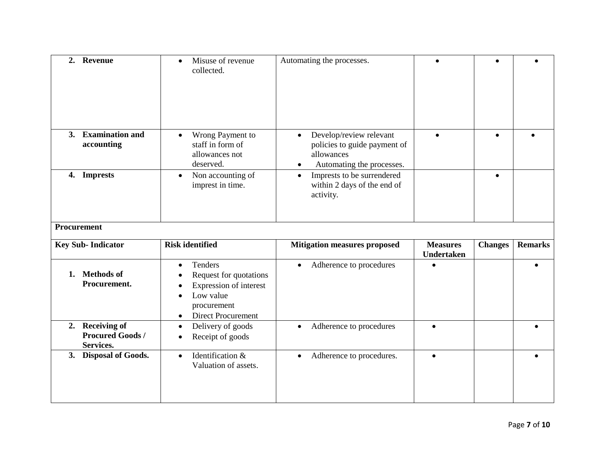| 2. Revenue                                             | Misuse of revenue<br>$\bullet$<br>collected.                                                                                      | Automating the processes.                                                                                                                                               |                                      |                |                |
|--------------------------------------------------------|-----------------------------------------------------------------------------------------------------------------------------------|-------------------------------------------------------------------------------------------------------------------------------------------------------------------------|--------------------------------------|----------------|----------------|
| 3. Examination and<br>accounting<br>4. Imprests        | Wrong Payment to<br>$\bullet$<br>staff in form of<br>allowances not<br>deserved.<br>Non accounting of<br>$\bullet$                | Develop/review relevant<br>$\bullet$<br>policies to guide payment of<br>allowances<br>Automating the processes.<br>$\bullet$<br>Imprests to be surrendered<br>$\bullet$ | $\bullet$                            | $\bullet$      |                |
|                                                        | imprest in time.                                                                                                                  | within 2 days of the end of<br>activity.                                                                                                                                |                                      |                |                |
| <b>Procurement</b>                                     |                                                                                                                                   |                                                                                                                                                                         |                                      |                |                |
|                                                        |                                                                                                                                   |                                                                                                                                                                         |                                      |                |                |
| <b>Key Sub-Indicator</b>                               | <b>Risk identified</b>                                                                                                            | <b>Mitigation measures proposed</b>                                                                                                                                     | <b>Measures</b><br><b>Undertaken</b> | <b>Changes</b> | <b>Remarks</b> |
| 1. Methods of<br>Procurement.                          | Tenders<br>Request for quotations<br>Expression of interest<br>Low value<br>procurement<br><b>Direct Procurement</b><br>$\bullet$ | Adherence to procedures<br>$\bullet$                                                                                                                                    |                                      |                |                |
| 2. Receiving of<br><b>Procured Goods/</b><br>Services. | Delivery of goods<br>$\bullet$<br>Receipt of goods                                                                                | Adherence to procedures<br>$\bullet$                                                                                                                                    | $\bullet$                            |                |                |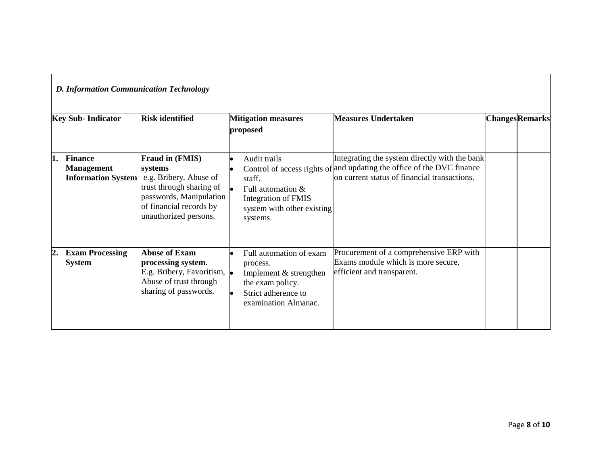|    | <b>D. Information Communication Technology</b><br><b>Key Sub-Indicator</b> | <b>Risk identified</b>                                                                                                                                                 | <b>Mitigation measures</b><br>proposed                                                                                           | <b>Measures Undertaken</b>                                                                                                                                              | <b>Changes</b> Remarks |  |
|----|----------------------------------------------------------------------------|------------------------------------------------------------------------------------------------------------------------------------------------------------------------|----------------------------------------------------------------------------------------------------------------------------------|-------------------------------------------------------------------------------------------------------------------------------------------------------------------------|------------------------|--|
|    | <b>Finance</b><br><b>Management</b><br><b>Information System</b>           | <b>Fraud in (FMIS)</b><br>systems<br>e.g. Bribery, Abuse of<br>trust through sharing of<br>passwords, Manipulation<br>of financial records by<br>unauthorized persons. | Audit trails<br>staff.<br>Full automation $\&$<br><b>Integration of FMIS</b><br>system with other existing<br>systems.           | Integrating the system directly with the bank<br>Control of access rights of and updating the office of the DVC finance<br>on current status of financial transactions. |                        |  |
| 2. | <b>Exam Processing</b><br><b>System</b>                                    | <b>Abuse of Exam</b><br>processing system.<br>E.g. Bribery, Favoritism, $\bullet$<br>Abuse of trust through<br>sharing of passwords.                                   | Full automation of exam<br>process.<br>Implement & strengthen<br>the exam policy.<br>Strict adherence to<br>examination Almanac. | Procurement of a comprehensive ERP with<br>Exams module which is more secure,<br>efficient and transparent.                                                             |                        |  |

П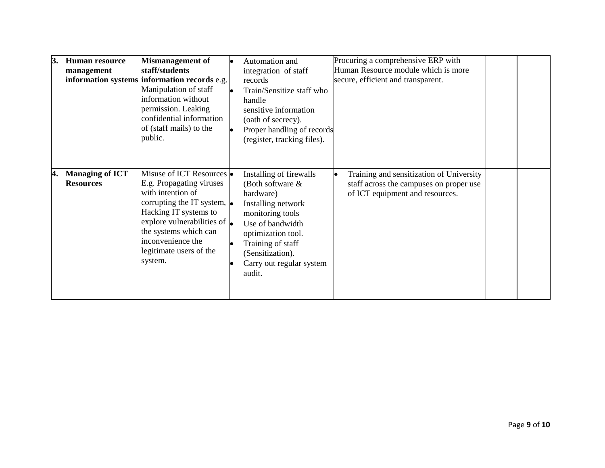| 3.  | <b>Human resource</b><br>management        | <b>Mismanagement of</b><br>staff/students<br>information systems information records e.g.<br>Manipulation of staff<br>information without<br>permission. Leaking<br>confidential information<br>of (staff mails) to the<br>public.                                     | Automation and<br>integration of staff<br>records<br>Train/Sensitize staff who<br>handle<br>sensitive information<br>(oath of secrecy).<br>Proper handling of records<br>(register, tracking files).                        | Procuring a comprehensive ERP with<br>Human Resource module which is more<br>secure, efficient and transparent.        |  |
|-----|--------------------------------------------|------------------------------------------------------------------------------------------------------------------------------------------------------------------------------------------------------------------------------------------------------------------------|-----------------------------------------------------------------------------------------------------------------------------------------------------------------------------------------------------------------------------|------------------------------------------------------------------------------------------------------------------------|--|
| 14. | <b>Managing of ICT</b><br><b>Resources</b> | Misuse of ICT Resources •<br>E.g. Propagating viruses<br>with intention of<br>corrupting the IT system, $\bullet$<br>Hacking IT systems to<br>explore vulnerabilities of $\bullet$<br>the systems which can<br>inconvenience the<br>legitimate users of the<br>system. | Installing of firewalls<br>(Both software &<br>hardware)<br>Installing network<br>monitoring tools<br>Use of bandwidth<br>optimization tool.<br>Training of staff<br>(Sensitization).<br>Carry out regular system<br>audit. | Training and sensitization of University<br>staff across the campuses on proper use<br>of ICT equipment and resources. |  |